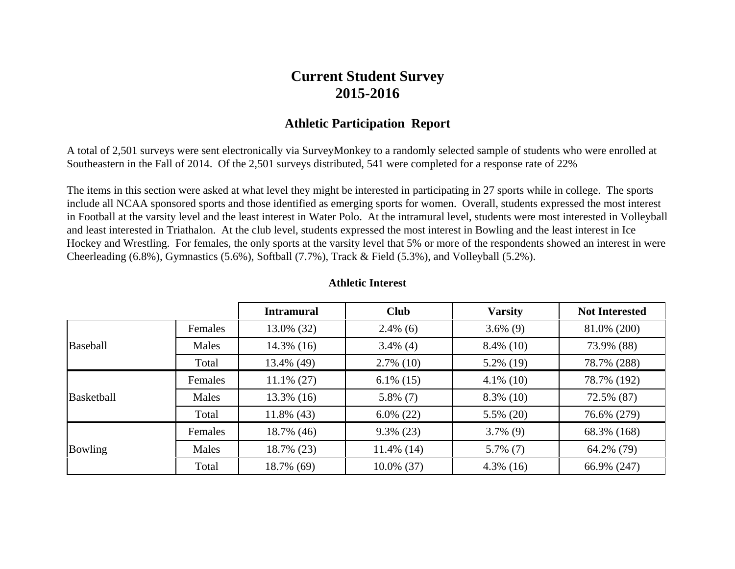## **Current Student Survey 2015-2016**

## **Athletic Participation Report**

A total of 2,501 surveys were sent electronically via SurveyMonkey to a randomly selected sample of students who were enrolled at Southeastern in the Fall of 2014. Of the 2,501 surveys distributed, 541 were completed for a response rate of 22%

The items in this section were asked at what level they might be interested in participating in 27 sports while in college. The sports include all NCAA sponsored sports and those identified as emerging sports for women. Overall, students expressed the most interest in Football at the varsity level and the least interest in Water Polo. At the intramural level, students were most interested in Volleyball and least interested in Triathalon. At the club level, students expressed the most interest in Bowling and the least interest in Ice Hockey and Wrestling. For females, the only sports at the varsity level that 5% or more of the respondents showed an interest in were Cheerleading (6.8%), Gymnastics (5.6%), Softball (7.7%), Track & Field (5.3%), and Volleyball (5.2%).

|                |         | <b>Intramural</b> | <b>Club</b>   | <b>Varsity</b> | <b>Not Interested</b> |
|----------------|---------|-------------------|---------------|----------------|-----------------------|
|                | Females | 13.0% (32)        | $2.4\%$ (6)   | $3.6\%$ (9)    | 81.0% (200)           |
| Baseball       | Males   | $14.3\%$ (16)     | $3.4\%$ (4)   | $8.4\%$ (10)   | 73.9% (88)            |
|                | Total   | 13.4% (49)        | $2.7\%$ (10)  | $5.2\%$ (19)   | 78.7% (288)           |
| Basketball     | Females | $11.1\% (27)$     | $6.1\%$ (15)  | $4.1\%$ (10)   | 78.7% (192)           |
|                | Males   | $13.3\%$ (16)     | $5.8\%$ (7)   | $8.3\%$ (10)   | 72.5% (87)            |
|                | Total   | $11.8\%$ (43)     | $6.0\%$ (22)  | $5.5\%$ (20)   | 76.6% (279)           |
| <b>Bowling</b> | Females | 18.7% (46)        | $9.3\%$ (23)  | $3.7\%$ (9)    | 68.3% (168)           |
|                | Males   | 18.7% (23)        | $11.4\%$ (14) | $5.7\%$ (7)    | 64.2% (79)            |
|                | Total   | 18.7% (69)        | $10.0\%$ (37) | $4.3\%$ (16)   | 66.9% (247)           |

## **Athletic Interest**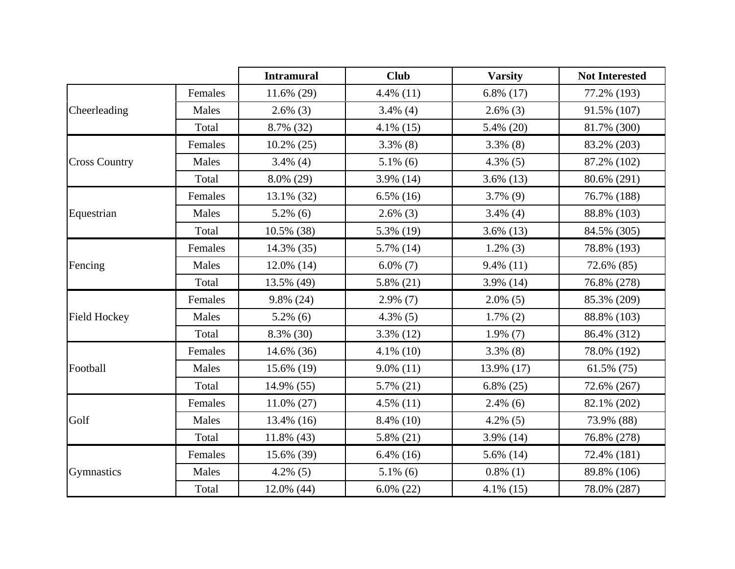|                      |         | <b>Intramural</b> | <b>Club</b>  | <b>Varsity</b> | <b>Not Interested</b> |
|----------------------|---------|-------------------|--------------|----------------|-----------------------|
|                      | Females | $11.6\%$ (29)     | $4.4\%$ (11) | $6.8\%$ (17)   | 77.2% (193)           |
| Cheerleading         | Males   | $2.6\%$ (3)       | $3.4\%$ (4)  | $2.6\%$ (3)    | 91.5% (107)           |
|                      | Total   | 8.7% (32)         | $4.1\%$ (15) | 5.4% (20)      | 81.7% (300)           |
|                      | Females | $10.2\%$ (25)     | $3.3\%$ (8)  | $3.3\%$ (8)    | 83.2% (203)           |
| <b>Cross Country</b> | Males   | $3.4\%$ (4)       | $5.1\%$ (6)  | $4.3\%$ (5)    | 87.2% (102)           |
|                      | Total   | 8.0% (29)         | 3.9% (14)    | $3.6\%$ (13)   | 80.6% (291)           |
|                      | Females | 13.1% (32)        | $6.5\%$ (16) | $3.7\%$ (9)    | 76.7% (188)           |
| Equestrian           | Males   | $5.2\%$ (6)       | $2.6\%$ (3)  | $3.4\%$ (4)    | 88.8% (103)           |
|                      | Total   | 10.5% (38)        | 5.3% (19)    | $3.6\%$ (13)   | 84.5% (305)           |
|                      | Females | 14.3% (35)        | 5.7% (14)    | $1.2\%$ (3)    | 78.8% (193)           |
| Fencing              | Males   | 12.0% (14)        | $6.0\%$ (7)  | $9.4\%$ (11)   | 72.6% (85)            |
|                      | Total   | 13.5% (49)        | $5.8\%$ (21) | 3.9% (14)      | 76.8% (278)           |
|                      | Females | 9.8% (24)         | $2.9\%$ (7)  | $2.0\%$ (5)    | 85.3% (209)           |
| <b>Field Hockey</b>  | Males   | $5.2\%$ (6)       | $4.3\%$ (5)  | $1.7\%$ (2)    | 88.8% (103)           |
|                      | Total   | 8.3% (30)         | $3.3\%$ (12) | $1.9\%$ (7)    | 86.4% (312)           |
|                      | Females | 14.6% (36)        | $4.1\%$ (10) | $3.3\%$ (8)    | 78.0% (192)           |
| Football             | Males   | 15.6% (19)        | $9.0\%$ (11) | 13.9% (17)     | $61.5\%$ (75)         |
|                      | Total   | 14.9% (55)        | 5.7% (21)    | $6.8\%$ (25)   | 72.6% (267)           |
|                      | Females | $11.0\%$ (27)     | $4.5\%$ (11) | $2.4\%$ (6)    | 82.1% (202)           |
| Golf                 | Males   | 13.4% (16)        | 8.4% (10)    | $4.2\%$ (5)    | 73.9% (88)            |
|                      | Total   | $11.8\%$ (43)     | $5.8\%$ (21) | 3.9% (14)      | 76.8% (278)           |
|                      | Females | 15.6% (39)        | $6.4\%$ (16) | 5.6% (14)      | 72.4% (181)           |
| Gymnastics           | Males   | $4.2\%$ (5)       | $5.1\%$ (6)  | $0.8\%$ (1)    | 89.8% (106)           |
|                      | Total   | 12.0% (44)        | $6.0\%$ (22) | $4.1\%$ (15)   | 78.0% (287)           |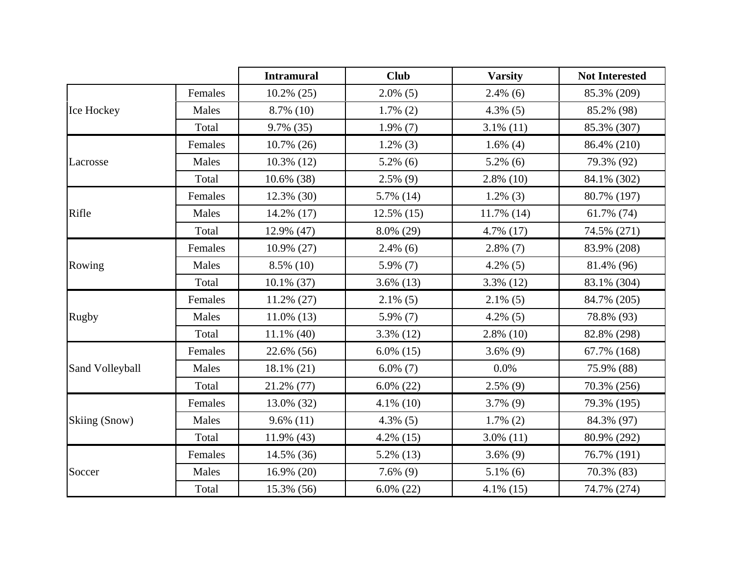|                 |         | <b>Intramural</b> | <b>Club</b>   | <b>Varsity</b> | <b>Not Interested</b> |
|-----------------|---------|-------------------|---------------|----------------|-----------------------|
|                 | Females | $10.2\%$ (25)     | $2.0\%$ (5)   | $2.4\%$ (6)    | 85.3% (209)           |
| Ice Hockey      | Males   | 8.7% (10)         | $1.7\%$ (2)   | $4.3\%$ (5)    | 85.2% (98)            |
|                 | Total   | 9.7% (35)         | $1.9\%$ (7)   | $3.1\%$ (11)   | 85.3% (307)           |
|                 | Females | $10.7\%$ (26)     | $1.2\%$ (3)   | $1.6\%$ (4)    | 86.4% (210)           |
| Lacrosse        | Males   | 10.3% (12)        | $5.2\%$ (6)   | $5.2\%$ (6)    | 79.3% (92)            |
|                 | Total   | 10.6% (38)        | $2.5\%$ (9)   | $2.8\%$ (10)   | 84.1% (302)           |
|                 | Females | $12.3\%$ (30)     | 5.7% (14)     | $1.2\%$ (3)    | 80.7% (197)           |
| Rifle           | Males   | 14.2% (17)        | $12.5\%$ (15) | 11.7% (14)     | 61.7% (74)            |
|                 | Total   | 12.9% (47)        | 8.0% (29)     | 4.7% (17)      | 74.5% (271)           |
|                 | Females | 10.9% (27)        | $2.4\%$ (6)   | $2.8\%$ (7)    | 83.9% (208)           |
| Rowing          | Males   | $8.5\%$ (10)      | 5.9% (7)      | $4.2\%$ (5)    | 81.4% (96)            |
|                 | Total   | 10.1% (37)        | $3.6\%$ (13)  | 3.3% (12)      | 83.1% (304)           |
|                 | Females | $11.2\% (27)$     | $2.1\%$ (5)   | $2.1\%$ (5)    | 84.7% (205)           |
| <b>Rugby</b>    | Males   | $11.0\%$ (13)     | 5.9% (7)      | $4.2\%$ (5)    | 78.8% (93)            |
|                 | Total   | $11.1\%$ (40)     | $3.3\%$ (12)  | $2.8\%$ (10)   | 82.8% (298)           |
|                 | Females | 22.6% (56)        | $6.0\%$ (15)  | $3.6\%$ (9)    | 67.7% (168)           |
| Sand Volleyball | Males   | 18.1% (21)        | $6.0\%$ (7)   | 0.0%           | 75.9% (88)            |
|                 | Total   | 21.2% (77)        | $6.0\%$ (22)  | $2.5\%$ (9)    | 70.3% (256)           |
|                 | Females | 13.0% (32)        | $4.1\%$ (10)  | $3.7\%$ (9)    | 79.3% (195)           |
| Skiing (Snow)   | Males   | $9.6\%$ (11)      | $4.3\%$ (5)   | $1.7\%$ (2)    | 84.3% (97)            |
|                 | Total   | 11.9% (43)        | $4.2\%$ (15)  | $3.0\%$ (11)   | 80.9% (292)           |
|                 | Females | 14.5% (36)        | 5.2% (13)     | $3.6\%$ (9)    | 76.7% (191)           |
| Soccer          | Males   | 16.9% (20)        | $7.6\%$ (9)   | $5.1\%$ (6)    | 70.3% (83)            |
|                 | Total   | 15.3% (56)        | $6.0\%$ (22)  | $4.1\%$ (15)   | 74.7% (274)           |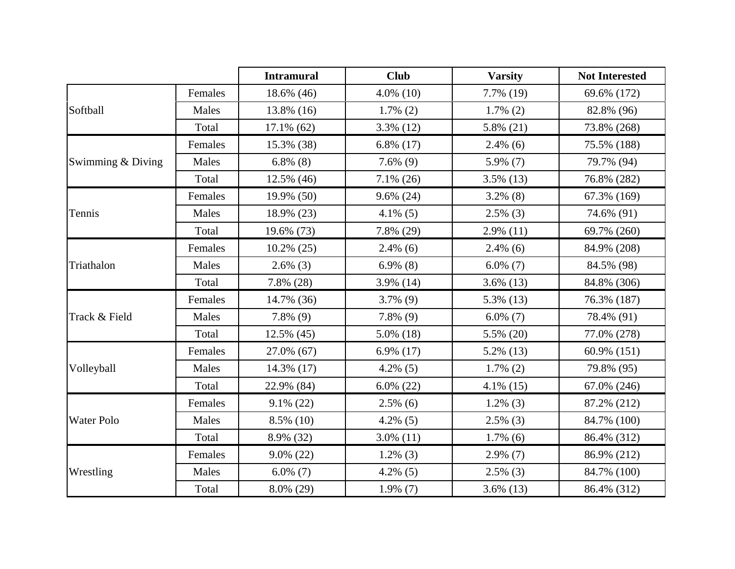|                   |         | <b>Intramural</b> | <b>Club</b>  | <b>Varsity</b> | <b>Not Interested</b> |
|-------------------|---------|-------------------|--------------|----------------|-----------------------|
|                   | Females | 18.6% (46)        | $4.0\%$ (10) | 7.7% (19)      | 69.6% (172)           |
| Softball          | Males   | 13.8% (16)        | $1.7\%$ (2)  | $1.7\%$ (2)    | 82.8% (96)            |
|                   | Total   | 17.1% (62)        | $3.3\%$ (12) | 5.8% (21)      | 73.8% (268)           |
|                   | Females | 15.3% (38)        | $6.8\%$ (17) | $2.4\%$ (6)    | 75.5% (188)           |
| Swimming & Diving | Males   | $6.8\%$ (8)       | $7.6\%$ (9)  | 5.9% (7)       | 79.7% (94)            |
|                   | Total   | 12.5% (46)        | $7.1\%$ (26) | $3.5\%$ (13)   | 76.8% (282)           |
|                   | Females | 19.9% (50)        | $9.6\%$ (24) | $3.2\%$ (8)    | 67.3% (169)           |
| Tennis            | Males   | 18.9% (23)        | $4.1\%$ (5)  | $2.5\%$ (3)    | 74.6% (91)            |
|                   | Total   | 19.6% (73)        | 7.8% (29)    | $2.9\%$ (11)   | 69.7% (260)           |
|                   | Females | $10.2\%$ (25)     | $2.4\%$ (6)  | $2.4\%$ (6)    | 84.9% (208)           |
| Triathalon        | Males   | $2.6\%$ (3)       | $6.9\%$ (8)  | $6.0\%$ (7)    | 84.5% (98)            |
|                   | Total   | 7.8% (28)         | 3.9% (14)    | $3.6\%$ (13)   | 84.8% (306)           |
|                   | Females | 14.7% (36)        | $3.7\%$ (9)  | 5.3% (13)      | 76.3% (187)           |
| Track & Field     | Males   | $7.8\%$ (9)       | $7.8\%$ (9)  | $6.0\%$ (7)    | 78.4% (91)            |
|                   | Total   | 12.5% (45)        | $5.0\%$ (18) | 5.5% (20)      | 77.0% (278)           |
|                   | Females | 27.0% (67)        | $6.9\%$ (17) | $5.2\%$ (13)   | 60.9% (151)           |
| Volleyball        | Males   | 14.3% (17)        | $4.2\%$ (5)  | $1.7\%$ (2)    | 79.8% (95)            |
|                   | Total   | 22.9% (84)        | $6.0\% (22)$ | $4.1\%$ (15)   | 67.0% (246)           |
|                   | Females | $9.1\%$ (22)      | $2.5\%$ (6)  | $1.2\%$ (3)    | 87.2% (212)           |
| <b>Water Polo</b> | Males   | 8.5% (10)         | $4.2\%$ (5)  | $2.5\%$ (3)    | 84.7% (100)           |
|                   | Total   | 8.9% (32)         | $3.0\%$ (11) | $1.7\%$ (6)    | 86.4% (312)           |
|                   | Females | $9.0\%$ (22)      | $1.2\%$ (3)  | $2.9\%$ (7)    | 86.9% (212)           |
| Wrestling         | Males   | $6.0\%$ (7)       | $4.2\%$ (5)  | $2.5\%$ (3)    | 84.7% (100)           |
|                   | Total   | 8.0% (29)         | $1.9\%$ (7)  | $3.6\%$ (13)   | 86.4% (312)           |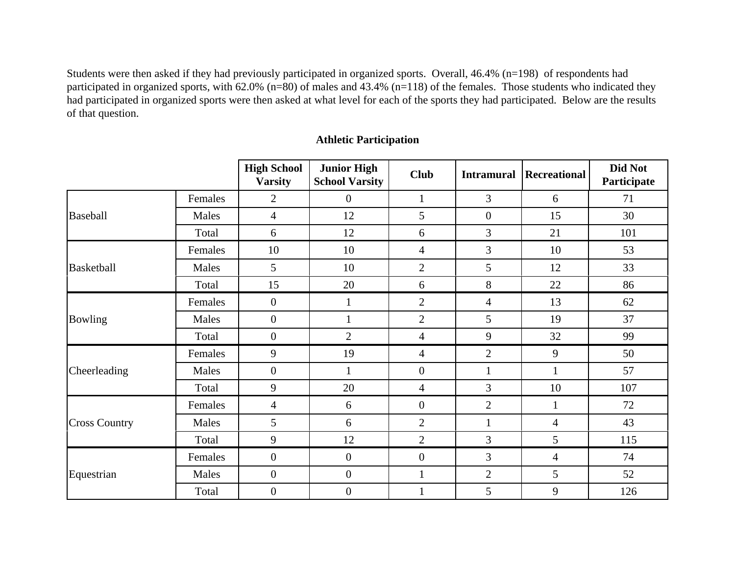Students were then asked if they had previously participated in organized sports. Overall, 46.4% (n=198) of respondents had participated in organized sports, with 62.0% (n=80) of males and 43.4% (n=118) of the females. Those students who indicated they had participated in organized sports were then asked at what level for each of the sports they had participated. Below are the results of that question.

|                      |         | <b>High School</b><br><b>Varsity</b> | <b>Junior High</b><br><b>School Varsity</b> | <b>Club</b>              | <b>Intramural</b> | <b>Recreational</b> | Did Not<br>Participate |
|----------------------|---------|--------------------------------------|---------------------------------------------|--------------------------|-------------------|---------------------|------------------------|
|                      | Females | $\overline{2}$                       | $\overline{0}$                              | $\mathbf{1}$             | 3                 | 6                   | 71                     |
| Baseball             | Males   | $\overline{4}$                       | 12                                          | 5                        | $\boldsymbol{0}$  | 15                  | 30                     |
|                      | Total   | 6                                    | 12                                          | 6                        | 3                 | 21                  | 101                    |
|                      | Females | 10                                   | 10                                          | $\overline{4}$           | 3                 | 10                  | 53                     |
| Basketball           | Males   | 5                                    | 10                                          | $\overline{2}$           | 5                 | 12                  | 33                     |
|                      | Total   | 15                                   | 20                                          | 6                        | 8                 | 22                  | 86                     |
|                      | Females | $\overline{0}$                       | $\mathbf{1}$                                | $\overline{2}$           | $\overline{4}$    | 13                  | 62                     |
| Bowling              | Males   | $\overline{0}$                       | $\mathbf{1}$                                | $\overline{2}$           | 5                 | 19                  | 37                     |
|                      | Total   | $\overline{0}$                       | $\overline{2}$                              | $\overline{\mathcal{A}}$ | 9                 | 32                  | 99                     |
|                      | Females | 9                                    | 19                                          | $\overline{4}$           | $\mathbf{2}$      | 9                   | 50                     |
| Cheerleading         | Males   | $\overline{0}$                       | $\mathbf{1}$                                | $\boldsymbol{0}$         | $\mathbf{1}$      | $\mathbf{1}$        | 57                     |
|                      | Total   | 9                                    | 20                                          | $\overline{4}$           | 3                 | 10                  | 107                    |
|                      | Females | 4                                    | 6                                           | $\overline{0}$           | $\overline{2}$    | $\mathbf{1}$        | 72                     |
| <b>Cross Country</b> | Males   | 5                                    | 6                                           | $\overline{2}$           | $\mathbf{1}$      | $\overline{4}$      | 43                     |
|                      | Total   | 9                                    | 12                                          | $\overline{2}$           | 3                 | 5                   | 115                    |
|                      | Females | $\overline{0}$                       | $\boldsymbol{0}$                            | $\boldsymbol{0}$         | 3                 | $\overline{4}$      | 74                     |
| Equestrian           | Males   | $\overline{0}$                       | $\overline{0}$                              | $\mathbf{1}$             | $\mathbf{2}$      | 5                   | 52                     |
|                      | Total   | $\boldsymbol{0}$                     | $\boldsymbol{0}$                            |                          | 5                 | 9                   | 126                    |

## **Athletic Participation**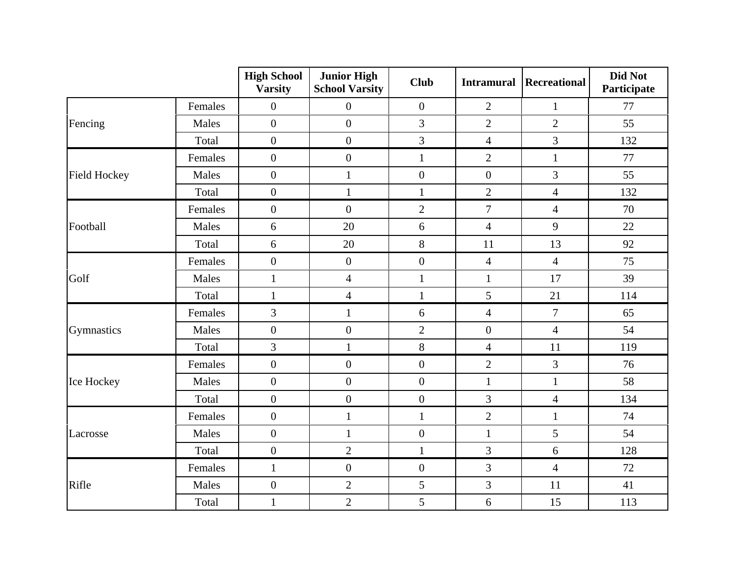|                     |         | <b>High School</b><br><b>Varsity</b> | <b>Junior High</b><br><b>School Varsity</b> | <b>Club</b>      | <b>Intramural</b> | Recreational   | Did Not<br>Participate |
|---------------------|---------|--------------------------------------|---------------------------------------------|------------------|-------------------|----------------|------------------------|
|                     | Females | $\boldsymbol{0}$                     | $\boldsymbol{0}$                            | $\boldsymbol{0}$ | $\overline{2}$    | $\mathbf{1}$   | 77                     |
| Fencing             | Males   | $\boldsymbol{0}$                     | $\overline{0}$                              | 3                | $\overline{2}$    | $\overline{2}$ | 55                     |
|                     | Total   | $\boldsymbol{0}$                     | $\boldsymbol{0}$                            | 3                | $\overline{4}$    | $\overline{3}$ | 132                    |
|                     | Females | $\boldsymbol{0}$                     | $\overline{0}$                              | $\mathbf{1}$     | $\overline{2}$    | $\mathbf{1}$   | 77                     |
| <b>Field Hockey</b> | Males   | $\boldsymbol{0}$                     | $\mathbf{1}$                                | $\boldsymbol{0}$ | $\boldsymbol{0}$  | $\overline{3}$ | 55                     |
|                     | Total   | $\boldsymbol{0}$                     | $\mathbf{1}$                                | $\mathbf{1}$     | $\overline{2}$    | $\overline{4}$ | 132                    |
|                     | Females | $\boldsymbol{0}$                     | $\boldsymbol{0}$                            | $\overline{2}$   | $\overline{7}$    | $\overline{4}$ | 70                     |
| Football            | Males   | 6                                    | 20                                          | 6                | $\overline{4}$    | 9              | 22                     |
|                     | Total   | 6                                    | 20                                          | 8                | 11                | 13             | 92                     |
|                     | Females | $\boldsymbol{0}$                     | $\boldsymbol{0}$                            | $\boldsymbol{0}$ | $\overline{4}$    | $\overline{4}$ | 75                     |
| Golf                | Males   | $\mathbf{1}$                         | $\overline{\mathbf{4}}$                     | $\mathbf{1}$     | $\mathbf 1$       | 17             | 39                     |
|                     | Total   | $\mathbf{1}$                         | $\overline{4}$                              | $\mathbf{1}$     | 5                 | 21             | 114                    |
|                     | Females | 3                                    | $\mathbf{1}$                                | 6                | $\overline{4}$    | $\overline{7}$ | 65                     |
| Gymnastics          | Males   | $\boldsymbol{0}$                     | $\boldsymbol{0}$                            | $\overline{2}$   | $\boldsymbol{0}$  | $\overline{4}$ | 54                     |
|                     | Total   | $\overline{3}$                       | $\mathbf{1}$                                | $8\,$            | $\overline{4}$    | 11             | 119                    |
|                     | Females | $\boldsymbol{0}$                     | $\boldsymbol{0}$                            | $\boldsymbol{0}$ | $\overline{2}$    | $\overline{3}$ | 76                     |
| Ice Hockey          | Males   | $\overline{0}$                       | $\overline{0}$                              | $\boldsymbol{0}$ | $\mathbf{1}$      | $\mathbf{1}$   | 58                     |
|                     | Total   | $\boldsymbol{0}$                     | $\overline{0}$                              | $\overline{0}$   | 3                 | $\overline{4}$ | 134                    |
|                     | Females | $\boldsymbol{0}$                     | $\mathbf{1}$                                | $\mathbf{1}$     | $\overline{2}$    | $\mathbf{1}$   | 74                     |
| Lacrosse            | Males   | $\boldsymbol{0}$                     | $\mathbf{1}$                                | $\boldsymbol{0}$ | $\mathbf{1}$      | $\overline{5}$ | 54                     |
|                     | Total   | $\overline{0}$                       | $\overline{2}$                              | $\mathbf{1}$     | 3                 | 6              | 128                    |
|                     | Females | $\mathbf{1}$                         | $\boldsymbol{0}$                            | $\boldsymbol{0}$ | $\mathfrak{Z}$    | $\overline{4}$ | 72                     |
| Rifle               | Males   | $\boldsymbol{0}$                     | $\overline{2}$                              | 5                | $\mathfrak{Z}$    | 11             | 41                     |
|                     | Total   | $\mathbf{1}$                         | $\overline{2}$                              | 5                | 6                 | 15             | 113                    |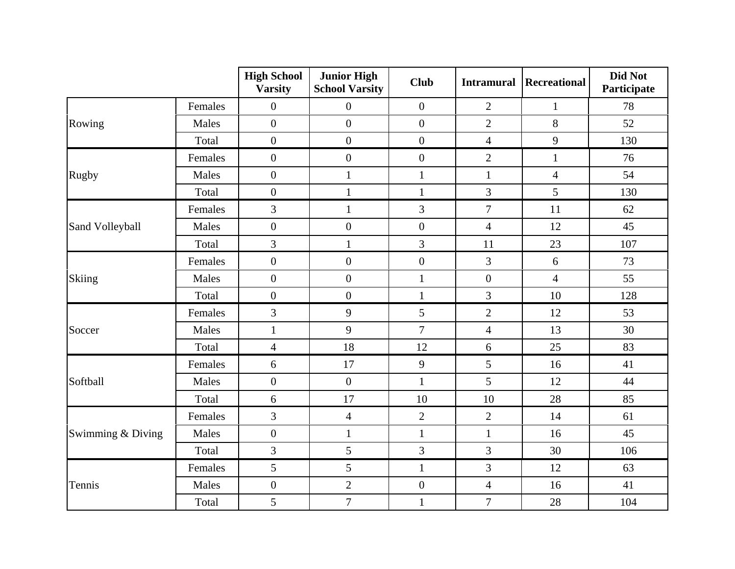|                   |         | <b>High School</b><br><b>Varsity</b> | <b>Junior High</b><br><b>School Varsity</b> | <b>Club</b>      | <b>Intramural</b> | Recreational   | Did Not<br>Participate |
|-------------------|---------|--------------------------------------|---------------------------------------------|------------------|-------------------|----------------|------------------------|
|                   | Females | $\overline{0}$                       | $\boldsymbol{0}$                            | $\boldsymbol{0}$ | $\overline{2}$    | $\mathbf{1}$   | 78                     |
| Rowing            | Males   | $\overline{0}$                       | $\overline{0}$                              | $\overline{0}$   | $\overline{2}$    | 8              | 52                     |
|                   | Total   | $\overline{0}$                       | $\overline{0}$                              | $\overline{0}$   | $\overline{4}$    | 9              | 130                    |
|                   | Females | $\overline{0}$                       | $\boldsymbol{0}$                            | $\boldsymbol{0}$ | $\overline{2}$    | $\mathbf{1}$   | 76                     |
| Rugby             | Males   | $\boldsymbol{0}$                     | $\mathbf{1}$                                | $\mathbf{1}$     | $\mathbf{1}$      | $\overline{4}$ | 54                     |
|                   | Total   | $\overline{0}$                       | $\mathbf{1}$                                | $\mathbf{1}$     | 3                 | 5              | 130                    |
|                   | Females | $\overline{3}$                       | $\mathbf{1}$                                | 3                | $\overline{7}$    | 11             | 62                     |
| Sand Volleyball   | Males   | $\overline{0}$                       | $\overline{0}$                              | $\boldsymbol{0}$ | $\overline{4}$    | 12             | 45                     |
|                   | Total   | 3                                    | $\mathbf{1}$                                | 3                | 11                | 23             | 107                    |
|                   | Females | $\overline{0}$                       | $\boldsymbol{0}$                            | $\boldsymbol{0}$ | $\overline{3}$    | 6              | 73                     |
| Skiing            | Males   | $\boldsymbol{0}$                     | $\boldsymbol{0}$                            | $\mathbf{1}$     | $\boldsymbol{0}$  | $\overline{4}$ | 55                     |
|                   | Total   | $\boldsymbol{0}$                     | $\overline{0}$                              | $\mathbf{1}$     | 3                 | 10             | 128                    |
|                   | Females | 3                                    | 9                                           | $\mathfrak{S}$   | $\mathbf{2}$      | 12             | 53                     |
| Soccer            | Males   | $\mathbf{1}$                         | 9                                           | $\overline{7}$   | $\overline{4}$    | 13             | 30                     |
|                   | Total   | $\overline{4}$                       | 18                                          | 12               | $\sqrt{6}$        | 25             | 83                     |
|                   | Females | $6\,$                                | 17                                          | 9                | 5                 | 16             | 41                     |
| Softball          | Males   | $\boldsymbol{0}$                     | $\overline{0}$                              | $\mathbf{1}$     | 5                 | 12             | 44                     |
|                   | Total   | $6\,$                                | 17                                          | 10               | 10                | 28             | 85                     |
|                   | Females | 3                                    | $\overline{4}$                              | $\overline{2}$   | $\overline{2}$    | 14             | 61                     |
| Swimming & Diving | Males   | $\boldsymbol{0}$                     | $\mathbf{1}$                                | $\mathbf{1}$     | $\mathbf{1}$      | 16             | 45                     |
|                   | Total   | $\overline{3}$                       | 5                                           | 3                | 3                 | 30             | 106                    |
|                   | Females | 5                                    | 5                                           | $\mathbf{1}$     | 3                 | 12             | 63                     |
| Tennis            | Males   | $\boldsymbol{0}$                     | $\overline{2}$                              | $\boldsymbol{0}$ | $\overline{4}$    | 16             | 41                     |
|                   | Total   | 5                                    | $\overline{7}$                              | $\mathbf{1}$     | $\tau$            | 28             | 104                    |